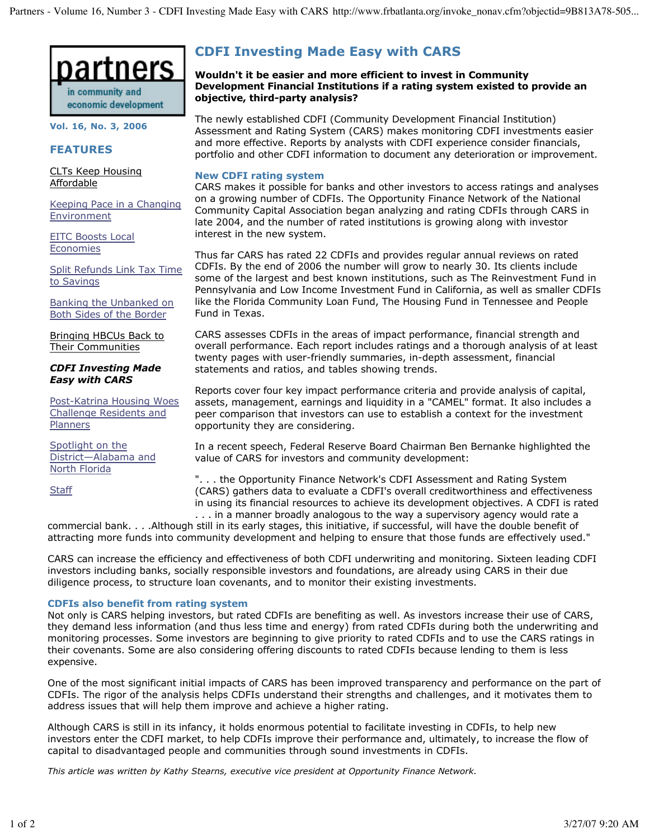

**Vol. 16, No. 3, 2006**

## **FEATURES**

CLTs Keep Housing Affordable

Keeping Pace in a Changing Environment

EITC Boosts Local Economies

Split Refunds Link Tax Time to Savings

Banking the Unbanked on Both Sides of the Border

Bringing HBCUs Back to Their Communities

#### *CDFI Investing Made Easy with CARS*

Post-Katrina Housing Woes Challenge Residents and Planners

Spotlight on the District—Alabama and North Florida

**Staff** 

# **CDFI Investing Made Easy with CARS**

**Wouldn't it be easier and more efficient to invest in Community Development Financial Institutions if a rating system existed to provide an objective, third-party analysis?**

The newly established CDFI (Community Development Financial Institution) Assessment and Rating System (CARS) makes monitoring CDFI investments easier and more effective. Reports by analysts with CDFI experience consider financials, portfolio and other CDFI information to document any deterioration or improvement.

### **New CDFI rating system**

CARS makes it possible for banks and other investors to access ratings and analyses on a growing number of CDFIs. The Opportunity Finance Network of the National Community Capital Association began analyzing and rating CDFIs through CARS in late 2004, and the number of rated institutions is growing along with investor interest in the new system.

Thus far CARS has rated 22 CDFIs and provides regular annual reviews on rated CDFIs. By the end of 2006 the number will grow to nearly 30. Its clients include some of the largest and best known institutions, such as The Reinvestment Fund in Pennsylvania and Low Income Investment Fund in California, as well as smaller CDFIs like the Florida Community Loan Fund, The Housing Fund in Tennessee and People Fund in Texas.

CARS assesses CDFIs in the areas of impact performance, financial strength and overall performance. Each report includes ratings and a thorough analysis of at least twenty pages with user-friendly summaries, in-depth assessment, financial statements and ratios, and tables showing trends.

Reports cover four key impact performance criteria and provide analysis of capital, assets, management, earnings and liquidity in a "CAMEL" format. It also includes a peer comparison that investors can use to establish a context for the investment opportunity they are considering.

In a recent speech, Federal Reserve Board Chairman Ben Bernanke highlighted the value of CARS for investors and community development:

". . . the Opportunity Finance Network's CDFI Assessment and Rating System (CARS) gathers data to evaluate a CDFI's overall creditworthiness and effectiveness in using its financial resources to achieve its development objectives. A CDFI is rated . . . in a manner broadly analogous to the way a supervisory agency would rate a

commercial bank. . . .Although still in its early stages, this initiative, if successful, will have the double benefit of attracting more funds into community development and helping to ensure that those funds are effectively used."

CARS can increase the efficiency and effectiveness of both CDFI underwriting and monitoring. Sixteen leading CDFI investors including banks, socially responsible investors and foundations, are already using CARS in their due diligence process, to structure loan covenants, and to monitor their existing investments.

### **CDFIs also benefit from rating system**

Not only is CARS helping investors, but rated CDFIs are benefiting as well. As investors increase their use of CARS, they demand less information (and thus less time and energy) from rated CDFIs during both the underwriting and monitoring processes. Some investors are beginning to give priority to rated CDFIs and to use the CARS ratings in their covenants. Some are also considering offering discounts to rated CDFIs because lending to them is less expensive.

One of the most significant initial impacts of CARS has been improved transparency and performance on the part of CDFIs. The rigor of the analysis helps CDFIs understand their strengths and challenges, and it motivates them to address issues that will help them improve and achieve a higher rating.

Although CARS is still in its infancy, it holds enormous potential to facilitate investing in CDFIs, to help new investors enter the CDFI market, to help CDFIs improve their performance and, ultimately, to increase the flow of capital to disadvantaged people and communities through sound investments in CDFIs.

*This article was written by Kathy Stearns, executive vice president at Opportunity Finance Network.*